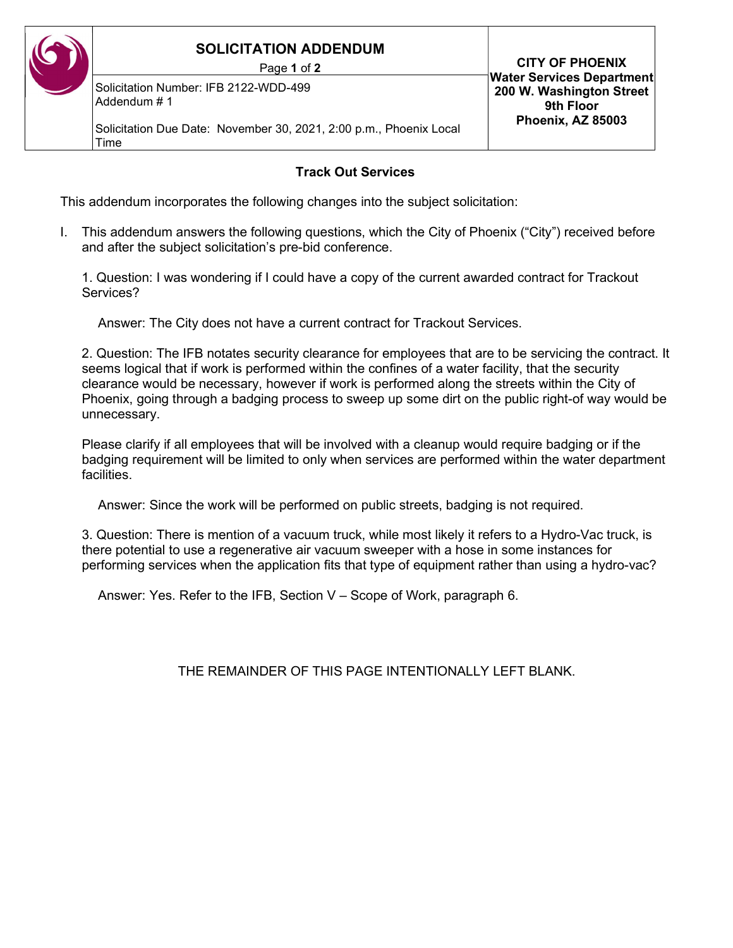## SOLICITATION ADDENDUM

Page 1 of 2

Solicitation Number: IFB 2122-WDD-499 Addendum # 1

Solicitation Due Date: November 30, 2021, 2:00 p.m., Phoenix Local Time

## Track Out Services

This addendum incorporates the following changes into the subject solicitation:

I. This addendum answers the following questions, which the City of Phoenix ("City") received before and after the subject solicitation's pre-bid conference.

 1. Question: I was wondering if I could have a copy of the current awarded contract for Trackout Services?

Answer: The City does not have a current contract for Trackout Services.

 2. Question: The IFB notates security clearance for employees that are to be servicing the contract. It seems logical that if work is performed within the confines of a water facility, that the security clearance would be necessary, however if work is performed along the streets within the City of Phoenix, going through a badging process to sweep up some dirt on the public right-of way would be unnecessary.

Please clarify if all employees that will be involved with a cleanup would require badging or if the badging requirement will be limited to only when services are performed within the water department facilities.

Answer: Since the work will be performed on public streets, badging is not required.

3. Question: There is mention of a vacuum truck, while most likely it refers to a Hydro-Vac truck, is there potential to use a regenerative air vacuum sweeper with a hose in some instances for performing services when the application fits that type of equipment rather than using a hydro-vac?

Answer: Yes. Refer to the IFB, Section V – Scope of Work, paragraph 6.

THE REMAINDER OF THIS PAGE INTENTIONALLY LEFT BLANK.